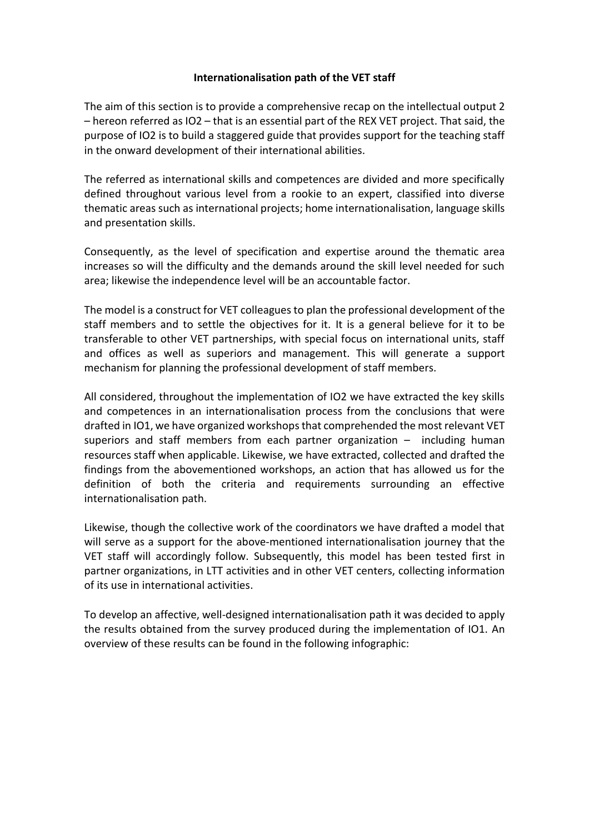## **Internationalisation path of the VET staff**

The aim of this section is to provide a comprehensive recap on the intellectual output 2 – hereon referred as IO2 – that is an essential part of the REX VET project. That said, the purpose of IO2 is to build a staggered guide that provides support for the teaching staff in the onward development of their international abilities.

The referred as international skills and competences are divided and more specifically defined throughout various level from a rookie to an expert, classified into diverse thematic areas such as international projects; home internationalisation, language skills and presentation skills.

Consequently, as the level of specification and expertise around the thematic area increases so will the difficulty and the demands around the skill level needed for such area; likewise the independence level will be an accountable factor.

The model is a construct for VET colleagues to plan the professional development of the staff members and to settle the objectives for it. It is a general believe for it to be transferable to other VET partnerships, with special focus on international units, staff and offices as well as superiors and management. This will generate a support mechanism for planning the professional development of staff members.

All considered, throughout the implementation of IO2 we have extracted the key skills and competences in an internationalisation process from the conclusions that were drafted in IO1, we have organized workshops that comprehended the most relevant VET superiors and staff members from each partner organization – including human resources staff when applicable. Likewise, we have extracted, collected and drafted the findings from the abovementioned workshops, an action that has allowed us for the definition of both the criteria and requirements surrounding an effective internationalisation path.

Likewise, though the collective work of the coordinators we have drafted a model that will serve as a support for the above-mentioned internationalisation journey that the VET staff will accordingly follow. Subsequently, this model has been tested first in partner organizations, in LTT activities and in other VET centers, collecting information of its use in international activities.

To develop an affective, well-designed internationalisation path it was decided to apply the results obtained from the survey produced during the implementation of IO1. An overview of these results can be found in the following infographic: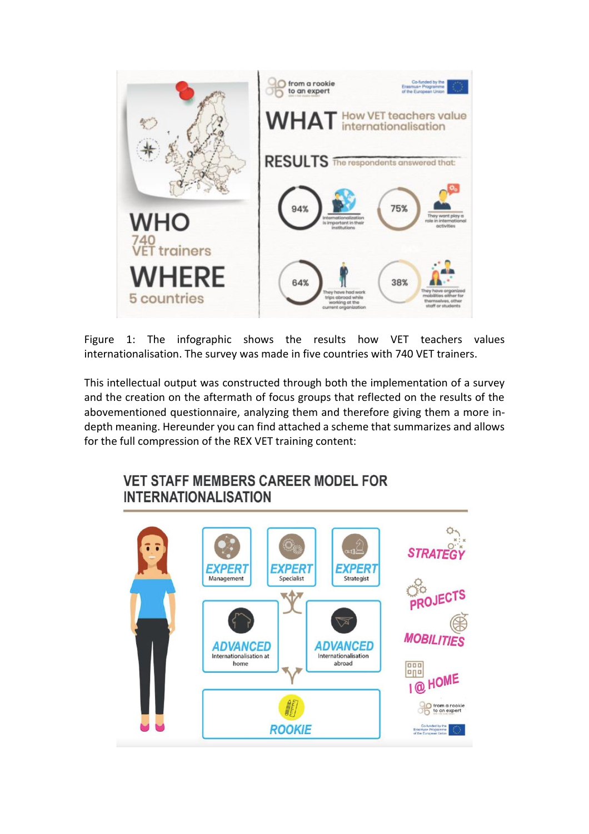

Figure 1: The infographic shows the results how VET teachers values internationalisation. The survey was made in five countries with 740 VET trainers.

This intellectual output was constructed through both the implementation of a survey and the creation on the aftermath of focus groups that reflected on the results of the abovementioned questionnaire, analyzing them and therefore giving them a more indepth meaning. Hereunder you can find attached a scheme that summarizes and allows for the full compression of the REX VET training content:

## **VET STAFF MEMBERS CAREER MODEL FOR INTERNATIONALISATION**

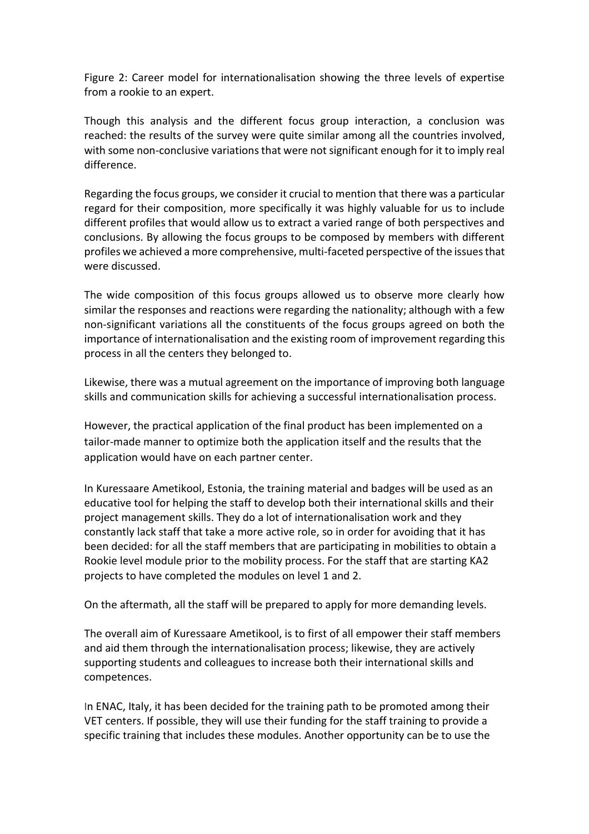Figure 2: Career model for internationalisation showing the three levels of expertise from a rookie to an expert.

Though this analysis and the different focus group interaction, a conclusion was reached: the results of the survey were quite similar among all the countries involved, with some non-conclusive variations that were not significant enough for it to imply real difference.

Regarding the focus groups, we consider it crucial to mention that there was a particular regard for their composition, more specifically it was highly valuable for us to include different profiles that would allow us to extract a varied range of both perspectives and conclusions. By allowing the focus groups to be composed by members with different profiles we achieved a more comprehensive, multi-faceted perspective of the issues that were discussed.

The wide composition of this focus groups allowed us to observe more clearly how similar the responses and reactions were regarding the nationality; although with a few non-significant variations all the constituents of the focus groups agreed on both the importance of internationalisation and the existing room of improvement regarding this process in all the centers they belonged to.

Likewise, there was a mutual agreement on the importance of improving both language skills and communication skills for achieving a successful internationalisation process.

However, the practical application of the final product has been implemented on a tailor-made manner to optimize both the application itself and the results that the application would have on each partner center.

In Kuressaare Ametikool, Estonia, the training material and badges will be used as an educative tool for helping the staff to develop both their international skills and their project management skills. They do a lot of internationalisation work and they constantly lack staff that take a more active role, so in order for avoiding that it has been decided: for all the staff members that are participating in mobilities to obtain a Rookie level module prior to the mobility process. For the staff that are starting KA2 projects to have completed the modules on level 1 and 2.

On the aftermath, all the staff will be prepared to apply for more demanding levels.

The overall aim of Kuressaare Ametikool, is to first of all empower their staff members and aid them through the internationalisation process; likewise, they are actively supporting students and colleagues to increase both their international skills and competences.

In ENAC, Italy, it has been decided for the training path to be promoted among their VET centers. If possible, they will use their funding for the staff training to provide a specific training that includes these modules. Another opportunity can be to use the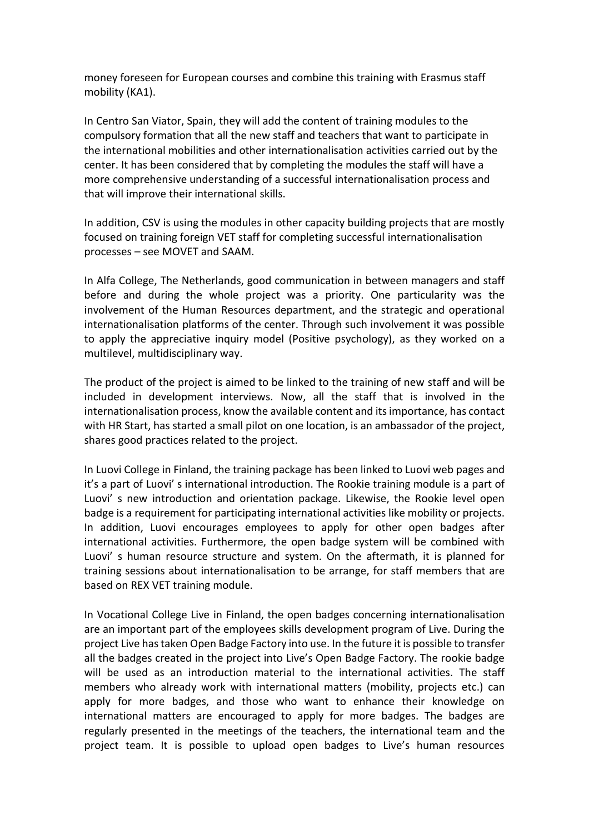money foreseen for European courses and combine this training with Erasmus staff mobility (KA1).

In Centro San Viator, Spain, they will add the content of training modules to the compulsory formation that all the new staff and teachers that want to participate in the international mobilities and other internationalisation activities carried out by the center. It has been considered that by completing the modules the staff will have a more comprehensive understanding of a successful internationalisation process and that will improve their international skills.

In addition, CSV is using the modules in other capacity building projects that are mostly focused on training foreign VET staff for completing successful internationalisation processes – see MOVET and SAAM.

In Alfa College, The Netherlands, good communication in between managers and staff before and during the whole project was a priority. One particularity was the involvement of the Human Resources department, and the strategic and operational internationalisation platforms of the center. Through such involvement it was possible to apply the appreciative inquiry model (Positive psychology), as they worked on a multilevel, multidisciplinary way.

The product of the project is aimed to be linked to the training of new staff and will be included in development interviews. Now, all the staff that is involved in the internationalisation process, know the available content and its importance, has contact with HR Start, has started a small pilot on one location, is an ambassador of the project, shares good practices related to the project.

In Luovi College in Finland, the training package has been linked to Luovi web pages and it's a part of Luovi' s international introduction. The Rookie training module is a part of Luovi' s new introduction and orientation package. Likewise, the Rookie level open badge is a requirement for participating international activities like mobility or projects. In addition, Luovi encourages employees to apply for other open badges after international activities. Furthermore, the open badge system will be combined with Luovi' s human resource structure and system. On the aftermath, it is planned for training sessions about internationalisation to be arrange, for staff members that are based on REX VET training module.

In Vocational College Live in Finland, the open badges concerning internationalisation are an important part of the employees skills development program of Live. During the project Live has taken Open Badge Factory into use. In the future it is possible to transfer all the badges created in the project into Live's Open Badge Factory. The rookie badge will be used as an introduction material to the international activities. The staff members who already work with international matters (mobility, projects etc.) can apply for more badges, and those who want to enhance their knowledge on international matters are encouraged to apply for more badges. The badges are regularly presented in the meetings of the teachers, the international team and the project team. It is possible to upload open badges to Live's human resources